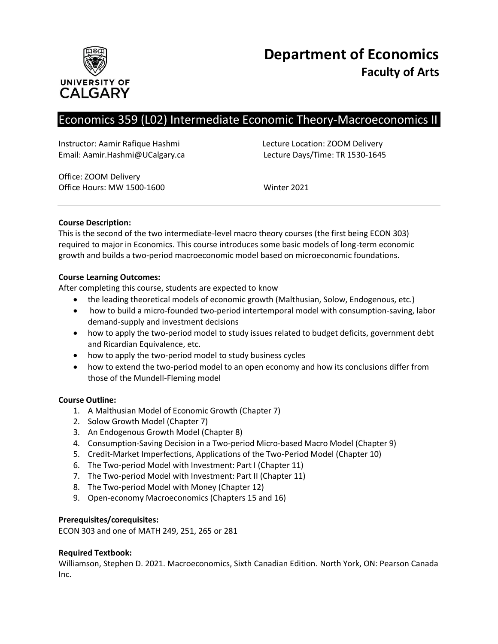

# Economics 359 (L02) Intermediate Economic Theory-Macroeconomics II

Instructor: Aamir Rafique Hashmi Lecture Location: ZOOM Delivery Email: Aamir.Hashmi@UCalgary.ca Lecture Days/Time: TR 1530-1645

Office: ZOOM Delivery Office Hours: MW 1500-1600 Winter 2021

# **Course Description:**

This is the second of the two intermediate-level macro theory courses (the first being ECON 303) required to major in Economics. This course introduces some basic models of long-term economic growth and builds a two-period macroeconomic model based on microeconomic foundations.

# **Course Learning Outcomes:**

After completing this course, students are expected to know

- the leading theoretical models of economic growth (Malthusian, Solow, Endogenous, etc.)
- how to build a micro-founded two-period intertemporal model with consumption-saving, labor demand-supply and investment decisions
- how to apply the two-period model to study issues related to budget deficits, government debt and Ricardian Equivalence, etc.
- how to apply the two-period model to study business cycles
- how to extend the two-period model to an open economy and how its conclusions differ from those of the Mundell-Fleming model

# **Course Outline:**

- 1. A Malthusian Model of Economic Growth (Chapter 7)
- 2. Solow Growth Model (Chapter 7)
- 3. An Endogenous Growth Model (Chapter 8)
- 4. Consumption-Saving Decision in a Two-period Micro-based Macro Model (Chapter 9)
- 5. Credit-Market Imperfections, Applications of the Two-Period Model (Chapter 10)
- 6. The Two-period Model with Investment: Part I (Chapter 11)
- 7. The Two-period Model with Investment: Part II (Chapter 11)
- 8. The Two-period Model with Money (Chapter 12)
- 9. Open-economy Macroeconomics (Chapters 15 and 16)

# **Prerequisites/corequisites:**

ECON 303 and one of MATH 249, 251, 265 or 281

# **Required Textbook:**

Williamson, Stephen D. 2021. Macroeconomics, Sixth Canadian Edition. North York, ON: Pearson Canada Inc.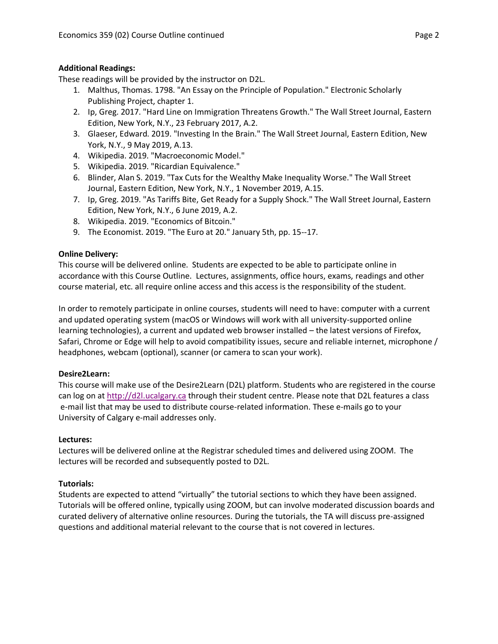# **Additional Readings:**

These readings will be provided by the instructor on D2L.

- 1. Malthus, Thomas. 1798. "An Essay on the Principle of Population." Electronic Scholarly Publishing Project, chapter 1.
- 2. Ip, Greg. 2017. "Hard Line on Immigration Threatens Growth." The Wall Street Journal, Eastern Edition, New York, N.Y., 23 February 2017, A.2.
- 3. Glaeser, Edward. 2019. "Investing In the Brain." The Wall Street Journal, Eastern Edition, New York, N.Y., 9 May 2019, A.13.
- 4. Wikipedia. 2019. "Macroeconomic Model."
- 5. Wikipedia. 2019. "Ricardian Equivalence."
- 6. Blinder, Alan S. 2019. "Tax Cuts for the Wealthy Make Inequality Worse." The Wall Street Journal, Eastern Edition, New York, N.Y., 1 November 2019, A.15.
- 7. Ip, Greg. 2019. "As Tariffs Bite, Get Ready for a Supply Shock." The Wall Street Journal, Eastern Edition, New York, N.Y., 6 June 2019, A.2.
- 8. Wikipedia. 2019. "Economics of Bitcoin."
- 9. The Economist. 2019. "The Euro at 20." January 5th, pp. 15--17.

# **Online Delivery:**

This course will be delivered online. Students are expected to be able to participate online in accordance with this Course Outline. Lectures, assignments, office hours, exams, readings and other course material, etc. all require online access and this access is the responsibility of the student.

In order to remotely participate in online courses, students will need to have: computer with a current and updated operating system (macOS or Windows will work with all university-supported online learning technologies), a current and updated web browser installed – the latest versions of Firefox, Safari, Chrome or Edge will help to avoid compatibility issues, secure and reliable internet, microphone / headphones, webcam (optional), scanner (or camera to scan your work).

# **Desire2Learn:**

This course will make use of the Desire2Learn (D2L) platform. Students who are registered in the course can log on at [http://d2l.ucalgary.ca](http://d2l.ucalgary.ca/) through their student centre. Please note that D2L features a class e-mail list that may be used to distribute course-related information. These e-mails go to your University of Calgary e-mail addresses only.

# **Lectures:**

Lectures will be delivered online at the Registrar scheduled times and delivered using ZOOM. The lectures will be recorded and subsequently posted to D2L.

# **Tutorials:**

Students are expected to attend "virtually" the tutorial sections to which they have been assigned. Tutorials will be offered online, typically using ZOOM, but can involve moderated discussion boards and curated delivery of alternative online resources. During the tutorials, the TA will discuss pre-assigned questions and additional material relevant to the course that is not covered in lectures.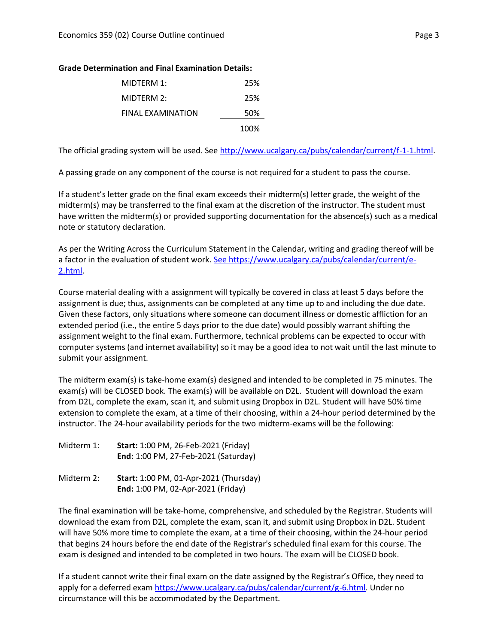#### **Grade Determination and Final Examination Details:**

| MIDTERM 1:        | 25%  |
|-------------------|------|
| MIDTERM 2:        | 25%  |
| FINAL EXAMINATION | 50%  |
|                   | 100% |

The official grading system will be used. See [http://www.ucalgary.ca/pubs/calendar/current/f-1-1.html.](http://www.ucalgary.ca/pubs/calendar/current/f-1-1.html)

A passing grade on any component of the course is not required for a student to pass the course.

If a student's letter grade on the final exam exceeds their midterm(s) letter grade, the weight of the midterm(s) may be transferred to the final exam at the discretion of the instructor. The student must have written the midterm(s) or provided supporting documentation for the absence(s) such as a medical note or statutory declaration.

As per the Writing Across the Curriculum Statement in the Calendar, writing and grading thereof will be a factor in the evaluation of student work. [See https://www.ucalgary.ca/pubs/calendar/current/e-](https://www.ucalgary.ca/pubs/calendar/current/e-2.html)[2.html.](https://www.ucalgary.ca/pubs/calendar/current/e-2.html)

Course material dealing with a assignment will typically be covered in class at least 5 days before the assignment is due; thus, assignments can be completed at any time up to and including the due date. Given these factors, only situations where someone can document illness or domestic affliction for an extended period (i.e., the entire 5 days prior to the due date) would possibly warrant shifting the assignment weight to the final exam. Furthermore, technical problems can be expected to occur with computer systems (and internet availability) so it may be a good idea to not wait until the last minute to submit your assignment.

The midterm exam(s) is take-home exam(s) designed and intended to be completed in 75 minutes. The exam(s) will be CLOSED book. The exam(s) will be available on D2L. Student will download the exam from D2L, complete the exam, scan it, and submit using Dropbox in D2L. Student will have 50% time extension to complete the exam, at a time of their choosing, within a 24-hour period determined by the instructor. The 24-hour availability periods for the two midterm-exams will be the following:

| Midterm 1: | <b>Start: 1:00 PM, 26-Feb-2021 (Friday)</b> |
|------------|---------------------------------------------|
|            | <b>End: 1:00 PM, 27-Feb-2021 (Saturday)</b> |

Midterm 2: **Start:** 1:00 PM, 01-Apr-2021 (Thursday) **End:** 1:00 PM, 02-Apr-2021 (Friday)

The final examination will be take-home, comprehensive, and scheduled by the Registrar. Students will download the exam from D2L, complete the exam, scan it, and submit using Dropbox in D2L. Student will have 50% more time to complete the exam, at a time of their choosing, within the 24-hour period that begins 24 hours before the end date of the Registrar's scheduled final exam for this course. The exam is designed and intended to be completed in two hours. The exam will be CLOSED book.

If a student cannot write their final exam on the date assigned by the Registrar's Office, they need to apply for a deferred exam [https://www.ucalgary.ca/pubs/calendar/current/g-6.html.](https://www.ucalgary.ca/pubs/calendar/current/g-6.html) Under no circumstance will this be accommodated by the Department.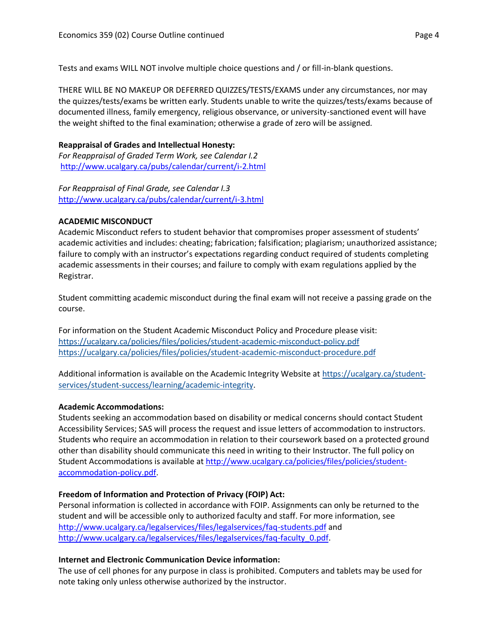Tests and exams WILL NOT involve multiple choice questions and / or fill-in-blank questions.

THERE WILL BE NO MAKEUP OR DEFERRED QUIZZES/TESTS/EXAMS under any circumstances, nor may the quizzes/tests/exams be written early. Students unable to write the quizzes/tests/exams because of documented illness, family emergency, religious observance, or university-sanctioned event will have the weight shifted to the final examination; otherwise a grade of zero will be assigned.

# **Reappraisal of Grades and Intellectual Honesty:**

*For Reappraisal of Graded Term Work, see Calendar I.2* <http://www.ucalgary.ca/pubs/calendar/current/i-2.html>

*For Reappraisal of Final Grade, see Calendar I.3* <http://www.ucalgary.ca/pubs/calendar/current/i-3.html>

# **ACADEMIC MISCONDUCT**

Academic Misconduct refers to student behavior that compromises proper assessment of students' academic activities and includes: cheating; fabrication; falsification; plagiarism; unauthorized assistance; failure to comply with an instructor's expectations regarding conduct required of students completing academic assessments in their courses; and failure to comply with exam regulations applied by the Registrar.

Student committing academic misconduct during the final exam will not receive a passing grade on the course.

For information on the Student Academic Misconduct Policy and Procedure please visit: <https://ucalgary.ca/policies/files/policies/student-academic-misconduct-policy.pdf> <https://ucalgary.ca/policies/files/policies/student-academic-misconduct-procedure.pdf>

Additional information is available on the Academic Integrity Website at [https://ucalgary.ca/student](https://ucalgary.ca/student-services/student-success/learning/academic-integrity)[services/student-success/learning/academic-integrity.](https://ucalgary.ca/student-services/student-success/learning/academic-integrity)

# **Academic Accommodations:**

Students seeking an accommodation based on disability or medical concerns should contact Student Accessibility Services; SAS will process the request and issue letters of accommodation to instructors. Students who require an accommodation in relation to their coursework based on a protected ground other than disability should communicate this need in writing to their Instructor. The full policy on Student Accommodations is available at [http://www.ucalgary.ca/policies/files/policies/student](http://www.ucalgary.ca/policies/files/policies/student-accommodation-policy.pdf)[accommodation-policy.pdf.](http://www.ucalgary.ca/policies/files/policies/student-accommodation-policy.pdf)

# **Freedom of Information and Protection of Privacy (FOIP) Act:**

Personal information is collected in accordance with FOIP. Assignments can only be returned to the student and will be accessible only to authorized faculty and staff. For more information, see <http://www.ucalgary.ca/legalservices/files/legalservices/faq-students.pdf> and [http://www.ucalgary.ca/legalservices/files/legalservices/faq-faculty\\_0.pdf.](http://www.ucalgary.ca/legalservices/files/legalservices/faq-faculty_0.pdf)

# **Internet and Electronic Communication Device information:**

The use of cell phones for any purpose in class is prohibited. Computers and tablets may be used for note taking only unless otherwise authorized by the instructor.